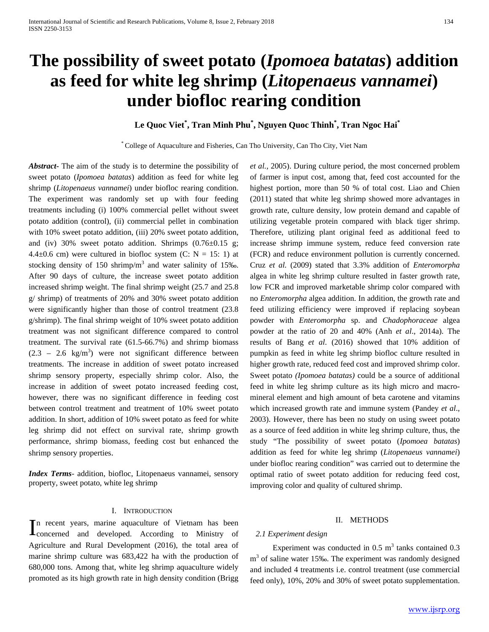# **The possibility of sweet potato (***Ipomoea batatas***) addition as feed for white leg shrimp (***Litopenaeus vannamei***) under biofloc rearing condition**

**Le Quoc Viet\* , Tran Minh Phu\* , Nguyen Quoc Thinh\* , Tran Ngoc Hai\***

\* College of Aquaculture and Fisheries, Can Tho University, Can Tho City, Viet Nam

*Abstract***-** The aim of the study is to determine the possibility of sweet potato (*Ipomoea batatas*) addition as feed for white leg shrimp (*Litopenaeus vannamei*) under biofloc rearing condition. The experiment was randomly set up with four feeding treatments including (i) 100% commercial pellet without sweet potato addition (control), (ii) commercial pellet in combination with 10% sweet potato addition, (iii) 20% sweet potato addition, and (iv) 30% sweet potato addition. Shrimps  $(0.76 \pm 0.15 \text{ g})$ ; 4.4 $\pm$ 0.6 cm) were cultured in biofloc system (C: N = 15: 1) at stocking density of 150 shrimp/ $m<sup>3</sup>$  and water salinity of 15‰. After 90 days of culture, the increase sweet potato addition increased shrimp weight. The final shrimp weight (25.7 and 25.8 g/ shrimp) of treatments of 20% and 30% sweet potato addition were significantly higher than those of control treatment (23.8 g/shrimp). The final shrimp weight of 10% sweet potato addition treatment was not significant difference compared to control treatment. The survival rate (61.5-66.7%) and shrimp biomass  $(2.3 - 2.6 \text{ kg/m}^3)$  were not significant difference between treatments. The increase in addition of sweet potato increased shrimp sensory property, especially shrimp color. Also, the increase in addition of sweet potato increased feeding cost, however, there was no significant difference in feeding cost between control treatment and treatment of 10% sweet potato addition. In short, addition of 10% sweet potato as feed for white leg shrimp did not effect on survival rate, shrimp growth performance, shrimp biomass, feeding cost but enhanced the shrimp sensory properties.

*Index Terms*- addition, biofloc, Litopenaeus vannamei, sensory property, sweet potato, white leg shrimp

#### I. INTRODUCTION

n recent years, marine aquaculture of Vietnam has been In recent years, marine aquaculture of Vietnam has been<br>concerned and developed. According to Ministry of Agriculture and Rural Development (2016), the total area of marine shrimp culture was 683,422 ha with the production of 680,000 tons. Among that, white leg shrimp aquaculture widely promoted as its high growth rate in high density condition (Brigg

*et al.,* 2005). During culture period, the most concerned problem of farmer is input cost, among that, feed cost accounted for the highest portion, more than 50 % of total cost. Liao and Chien (2011) stated that white leg shrimp showed more advantages in growth rate, culture density, low protein demand and capable of utilizing vegetable protein compared with black tiger shrimp. Therefore, utilizing plant original feed as additional feed to increase shrimp immune system, reduce feed conversion rate (FCR) and reduce environment pollution is currently concerned. Cruz *et al.* (2009) stated that 3.3% addition of *Enteromorpha*  algea in white leg shrimp culture resulted in faster growth rate, low FCR and improved marketable shrimp color compared with no *Enteromorpha* algea addition. In addition, the growth rate and feed utilizing efficiency were improved if replacing soybean powder with *Enteromorpha* sp. and *Chadophoraceae* algea powder at the ratio of 20 and 40% (Anh *et al*., 2014a). The results of Bang *et al*. (2016) showed that 10% addition of pumpkin as feed in white leg shrimp biofloc culture resulted in higher growth rate, reduced feed cost and improved shrimp color. Sweet potato *(Ipomoea batatas)* could be a source of additional feed in white leg shrimp culture as its high micro and macromineral element and high amount of beta carotene and vitamins which increased growth rate and immune system (Pandey *et al*., 2003). However, there has been no study on using sweet potato as a source of feed addition in white leg shrimp culture, thus, the study "The possibility of sweet potato (*Ipomoea batatas*) addition as feed for white leg shrimp (*Litopenaeus vannamei*) under biofloc rearing condition" was carried out to determine the optimal ratio of sweet potato addition for reducing feed cost, improving color and quality of cultured shrimp.

#### II. METHODS

#### *2.1 Experiment design*

Experiment was conducted in  $0.5 \text{ m}^3$  tanks contained  $0.3$ m<sup>3</sup> of saline water 15‰. The experiment was randomly designed and included 4 treatments i.e. control treatment (use commercial feed only), 10%, 20% and 30% of sweet potato supplementation.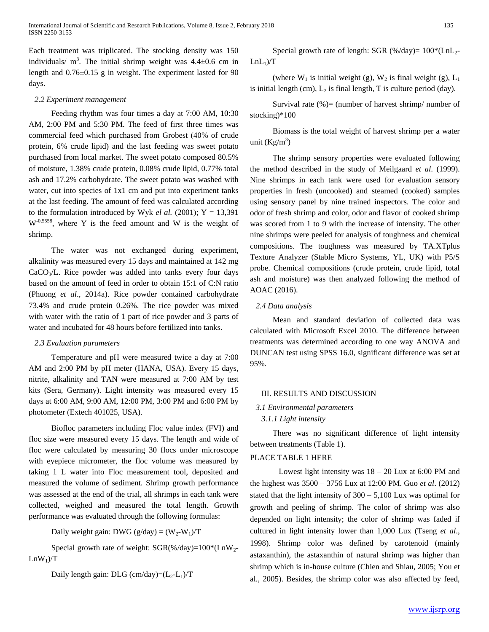Each treatment was triplicated. The stocking density was 150 individuals/  $m^3$ . The initial shrimp weight was  $4.4 \pm 0.6$  cm in length and 0.76±0.15 g in weight. The experiment lasted for 90 days.

#### *2.2 Experiment management*

Feeding rhythm was four times a day at 7:00 AM, 10:30 AM, 2:00 PM and 5:30 PM. The feed of first three times was commercial feed which purchased from Grobest (40% of crude protein, 6% crude lipid) and the last feeding was sweet potato purchased from local market. The sweet potato composed 80.5% of moisture, 1.38% crude protein, 0.08% crude lipid, 0.77% total ash and 17.2% carbohydrate. The sweet potato was washed with water, cut into species of 1x1 cm and put into experiment tanks at the last feeding. The amount of feed was calculated according to the formulation introduced by Wyk *el al.*  $(2001)$ ; Y = 13,391  $W^{-0,5558}$ , where Y is the feed amount and W is the weight of shrimp.

The water was not exchanged during experiment, alkalinity was measured every 15 days and maintained at 142 mg CaCO3/L. Rice powder was added into tanks every four days based on the amount of feed in order to obtain 15:1 of C:N ratio (Phuong *et al*., 2014a). Rice powder contained carbohydrate 73.4% and crude protein 0.26%. The rice powder was mixed with water with the ratio of 1 part of rice powder and 3 parts of water and incubated for 48 hours before fertilized into tanks.

#### *2.3 Evaluation parameters*

Temperature and pH were measured twice a day at 7:00 AM and 2:00 PM by pH meter (HANA, USA). Every 15 days, nitrite, alkalinity and TAN were measured at 7:00 AM by test kits (Sera, Germany). Light intensity was measured every 15 days at 6:00 AM, 9:00 AM, 12:00 PM, 3:00 PM and 6:00 PM by photometer (Extech 401025, USA).

Biofloc parameters including Floc value index (FVI) and floc size were measured every 15 days. The length and wide of floc were calculated by measuring 30 flocs under microscope with eyepiece micrometer, the floc volume was measured by taking 1 L water into Floc measurement tool, deposited and measured the volume of sediment. Shrimp growth performance was assessed at the end of the trial, all shrimps in each tank were collected, weighed and measured the total length. Growth performance was evaluated through the following formulas:

Daily weight gain: DWG ( $g/day$ ) = (W<sub>2</sub>-W<sub>1</sub>)/T

Special growth rate of weight:  $SGR$ %/day)=100\*(LnW<sub>2</sub>- $LnW_1$ )/T

Daily length gain: DLG (cm/day)= $(L_2-L_1)/T$ 

Special growth rate of length: SGR  $(\frac{\%}{day}) = 100*(LnL)$ - $LnL_1$ )/T

(where  $W_1$  is initial weight (g),  $W_2$  is final weight (g),  $L_1$ is initial length (cm),  $L_2$  is final length, T is culture period (day).

Survival rate  $% =$  (number of harvest shrimp/ number of stocking)\*100

Biomass is the total weight of harvest shrimp per a water unit  $(Kg/m^3)$ 

The shrimp sensory properties were evaluated following the method described in the study of Meilgaard *et al*. (1999). Nine shrimps in each tank were used for evaluation sensory properties in fresh (uncooked) and steamed (cooked) samples using sensory panel by nine trained inspectors. The color and odor of fresh shrimp and color, odor and flavor of cooked shrimp was scored from 1 to 9 with the increase of intensity. The other nine shrimps were peeled for analysis of toughness and chemical compositions. The toughness was measured by TA.XTplus Texture Analyzer (Stable Micro Systems, YL, UK) with P5/S probe. Chemical compositions (crude protein, crude lipid, total ash and moisture) was then analyzed following the method of AOAC (2016).

#### *2.4 Data analysis*

Mean and standard deviation of collected data was calculated with Microsoft Excel 2010. The difference between treatments was determined according to one way ANOVA and DUNCAN test using SPSS 16.0, significant difference was set at 95%.

#### III. RESULTS AND DISCUSSION

# *3.1 Environmental parameters*

## *3.1.1 Light intensity*

There was no significant difference of light intensity between treatments (Table 1).

#### PLACE TABLE 1 HERE

Lowest light intensity was  $18 - 20$  Lux at 6:00 PM and the highest was 3500 – 3756 Lux at 12:00 PM. Guo *et al*. (2012) stated that the light intensity of  $300 - 5{,}100$  Lux was optimal for growth and peeling of shrimp. The color of shrimp was also depended on light intensity; the color of shrimp was faded if cultured in light intensity lower than 1,000 Lux (Tseng *et al*., 1998). Shrimp color was defined by carotenoid (mainly astaxanthin), the astaxanthin of natural shrimp was higher than shrimp which is in-house culture (Chien and Shiau, 2005; You et al., 2005). Besides, the shrimp color was also affected by feed,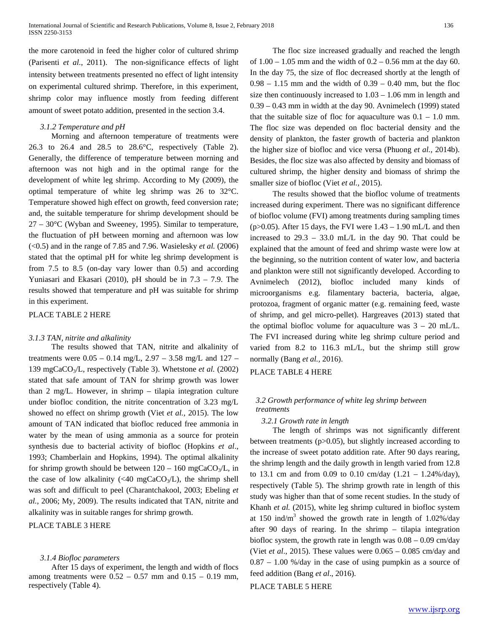the more carotenoid in feed the higher color of cultured shrimp (Parisenti *et al*., 2011). The non-significance effects of light intensity between treatments presented no effect of light intensity on experimental cultured shrimp. Therefore, in this experiment, shrimp color may influence mostly from feeding different amount of sweet potato addition, presented in the section 3.4.

## *3.1.2 Temperature and pH*

Morning and afternoon temperature of treatments were 26.3 to 26.4 and 28.5 to 28.6°C, respectively (Table 2). Generally, the difference of temperature between morning and afternoon was not high and in the optimal range for the development of white leg shrimp. According to My (2009), the optimal temperature of white leg shrimp was 26 to 32°C. Temperature showed high effect on growth, feed conversion rate; and, the suitable temperature for shrimp development should be 27 – 30°C (Wyban and Sweeney, 1995). Similar to temperature, the fluctuation of pH between morning and afternoon was low (<0.5) and in the range of 7.85 and 7.96. Wasielesky *et al.* (2006) stated that the optimal pH for white leg shrimp development is from 7.5 to 8.5 (on-day vary lower than 0.5) and according Yuniasari and Ekasari (2010), pH should be in 7.3 – 7.9. The results showed that temperature and pH was suitable for shrimp in this experiment.

#### PLACE TABLE 2 HERE

### *3.1.3 TAN, nitrite and alkalinity*

The results showed that TAN, nitrite and alkalinity of treatments were  $0.05 - 0.14$  mg/L,  $2.97 - 3.58$  mg/L and  $127 -$ 139 mgCaCO3/L, respectively (Table 3). Whetstone *et al.* (2002) stated that safe amount of TAN for shrimp growth was lower than 2 mg/L. However, in shrimp – tilapia integration culture under biofloc condition, the nitrite concentration of 3.23 mg/L showed no effect on shrimp growth (Viet *et al.,* 2015). The low amount of TAN indicated that biofloc reduced free ammonia in water by the mean of using ammonia as a source for protein synthesis due to bacterial activity of biofloc (Hopkins *et al*., 1993; Chamberlain and Hopkins, 1994). The optimal alkalinity for shrimp growth should be between  $120 - 160$  mgCaCO<sub>3</sub>/L, in the case of low alkalinity ( $\langle 40 \text{ mgCaCO}_3/\text{L}$ ), the shrimp shell was soft and difficult to peel (Charantchakool, 2003; Ebeling *et al.*, 2006; My, 2009). The results indicated that TAN, nitrite and alkalinity was in suitable ranges for shrimp growth.

# PLACE TABLE 3 HERE

#### *3.1.4 Biofloc parameters*

After 15 days of experiment, the length and width of flocs among treatments were  $0.52 - 0.57$  mm and  $0.15 - 0.19$  mm, respectively (Table 4).

The floc size increased gradually and reached the length of 1.00 – 1.05 mm and the width of 0.2 – 0.56 mm at the day 60. In the day 75, the size of floc decreased shortly at the length of  $0.98 - 1.15$  mm and the width of  $0.39 - 0.40$  mm, but the floc size then continuously increased to 1.03 – 1.06 mm in length and 0.39 – 0.43 mm in width at the day 90. Avnimelech (1999) stated that the suitable size of floc for aquaculture was  $0.1 - 1.0$  mm. The floc size was depended on floc bacterial density and the density of plankton, the faster growth of bacteria and plankton the higher size of biofloc and vice versa (Phuong *et al.,* 2014b). Besides, the floc size was also affected by density and biomass of cultured shrimp, the higher density and biomass of shrimp the smaller size of biofloc (Viet *et al.,* 2015).

The results showed that the biofloc volume of treatments increased during experiment. There was no significant difference of biofloc volume (FVI) among treatments during sampling times (p>0.05). After 15 days, the FVI were  $1.43 - 1.90$  mL/L and then increased to 29.3 – 33.0 mL/L in the day 90. That could be explained that the amount of feed and shrimp waste were low at the beginning, so the nutrition content of water low, and bacteria and plankton were still not significantly developed. According to Avnimelech (2012), biofloc included many kinds of microorganisms e.g. filamentary bacteria, bacteria, algae, protozoa, fragment of organic matter (e.g. remaining feed, waste of shrimp, and gel micro-pellet). Hargreaves (2013) stated that the optimal biofloc volume for aquaculture was  $3 - 20$  mL/L. The FVI increased during white leg shrimp culture period and varied from 8.2 to 116.3 mL/L, but the shrimp still grow normally (Bang *et al.,* 2016).

#### PLACE TABLE 4 HERE

# *3.2 Growth performance of white leg shrimp between treatments*

#### *3.2.1 Growth rate in length*

The length of shrimps was not significantly different between treatments (p>0.05), but slightly increased according to the increase of sweet potato addition rate. After 90 days rearing, the shrimp length and the daily growth in length varied from 12.8 to 13.1 cm and from 0.09 to 0.10 cm/day  $(1.21 - 1.24\%/day)$ , respectively (Table 5). The shrimp growth rate in length of this study was higher than that of some recent studies. In the study of Khanh *et al.* (2015), white leg shrimp cultured in biofloc system at 150 ind/m<sup>3</sup> showed the growth rate in length of  $1.02\%$ /day after 90 days of rearing. In the shrimp – tilapia integration biofloc system, the growth rate in length was 0.08 – 0.09 cm/day (Viet *et al*., 2015). These values were 0.065 – 0.085 cm/day and 0.87 – 1.00 %/day in the case of using pumpkin as a source of feed addition (Bang *et al*., 2016).

#### PLACE TABLE 5 HERE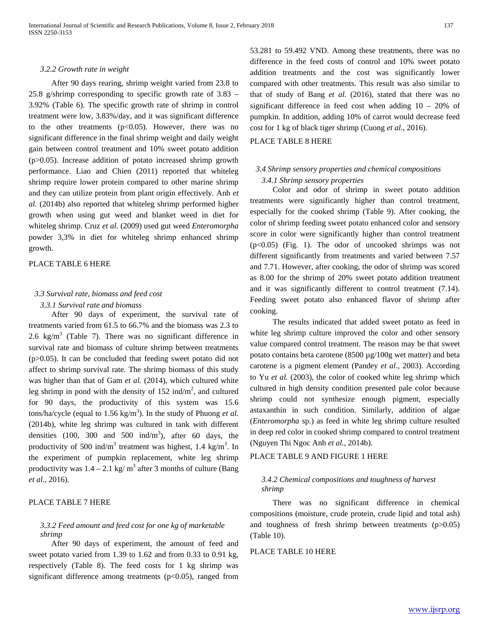#### *3.2.2 Growth rate in weight*

After 90 days rearing, shrimp weight varied from 23.8 to 25.8 g/shrimp corresponding to specific growth rate of 3.83 – 3.92% (Table 6). The specific growth rate of shrimp in control treatment were low, 3.83%/day, and it was significant difference to the other treatments  $(p<0.05)$ . However, there was no significant difference in the final shrimp weight and daily weight gain between control treatment and 10% sweet potato addition (p>0.05). Increase addition of potato increased shrimp growth performance. Liao and Chien (2011) reported that whiteleg shrimp require lower protein compared to other marine shrimp and they can utilize protein from plant origin effectively. Anh *et al.* (2014b) also reported that whiteleg shrimp performed higher growth when using gut weed and blanket weed in diet for whiteleg shrimp. Cruz *et al.* (2009) used gut weed *Enteromorpha* powder 3,3% in diet for whiteleg shrimp enhanced shrimp growth.

# PLACE TABLE 6 HERE

# *3.3 Survival rate, biomass and feed cost*

#### *3.3.1 Survival rate and biomass*

After 90 days of experiment, the survival rate of treatments varied from 61.5 to 66.7% and the biomass was 2.3 to 2.6 kg/m<sup>3</sup> (Table 7). There was no significant difference in survival rate and biomass of culture shrimp between treatments  $(p>0.05)$ . It can be concluded that feeding sweet potato did not affect to shrimp survival rate. The shrimp biomass of this study was higher than that of Gam *et al.* (2014), which cultured white leg shrimp in pond with the density of  $152$  ind/m<sup>2</sup>, and cultured for 90 days, the productivity of this system was 15.6  $t$ ons/ha/cycle (equal to  $1.56 \text{ kg/m}^3$ ). In the study of Phuong *et al.* (2014b), white leg shrimp was cultured in tank with different densities (100, 300 and 500 ind/m<sup>3</sup>), after 60 days, the productivity of 500 ind/ $m<sup>3</sup>$  treatment was highest, 1.4 kg/ $m<sup>3</sup>$ . In the experiment of pumpkin replacement, white leg shrimp productivity was  $1.4 - 2.1$  kg/ m<sup>3</sup> after 3 months of culture (Bang *et al.,* 2016).

# PLACE TABLE 7 HERE

# *3.3.2 Feed amount and feed cost for one kg of marketable shrimp*

After 90 days of experiment, the amount of feed and sweet potato varied from 1.39 to 1.62 and from 0.33 to 0.91 kg, respectively (Table 8). The feed costs for 1 kg shrimp was significant difference among treatments ( $p<0.05$ ), ranged from 53.281 to 59.492 VND. Among these treatments, there was no difference in the feed costs of control and 10% sweet potato addition treatments and the cost was significantly lower compared with other treatments. This result was also similar to that of study of Bang *et al.* (2016), stated that there was no significant difference in feed cost when adding 10 – 20% of pumpkin. In addition, adding 10% of carrot would decrease feed cost for 1 kg of black tiger shrimp (Cuong *et al.,* 2016).

## PLACE TABLE 8 HERE

# *3.4 Shrimp sensory properties and chemical compositions 3.4.1 Shrimp sensory properties*

Color and odor of shrimp in sweet potato addition treatments were significantly higher than control treatment, especially for the cooked shrimp (Table 9). After cooking, the color of shrimp feeding sweet potato enhanced color and sensory score in color were significantly higher than control treatment (p<0.05) (Fig. 1). The odor of uncooked shrimps was not different significantly from treatments and varied between 7.57 and 7.71. However, after cooking, the odor of shrimp was scored as 8.00 for the shrimp of 20% sweet potato addition treatment and it was significantly different to control treatment (7.14). Feeding sweet potato also enhanced flavor of shrimp after cooking.

The results indicated that added sweet potato as feed in white leg shrimp culture improved the color and other sensory value compared control treatment. The reason may be that sweet potato contains beta carotene (8500 µg/100g wet matter) and beta carotene is a pigment element (Pandey *et al*., 2003). According to Yu *et al.* (2003), the color of cooked white leg shrimp which cultured in high density condition presented pale color because shrimp could not synthesize enough pigment, especially astaxanthin in such condition. Similarly, addition of algae (*Enteromorpha* sp.) as feed in white leg shrimp culture resulted in deep red color in cooked shrimp compared to control treatment (Nguyen Thi Ngoc Anh *et al.,* 2014b).

# PLACE TABLE 9 AND FIGURE 1 HERE

## *3.4.2 Chemical compositions and toughness of harvest shrimp*

There was no significant difference in chemical compositions (moisture, crude protein, crude lipid and total ash) and toughness of fresh shrimp between treatments  $(p>0.05)$ (Table 10).

#### PLACE TABLE 10 HERE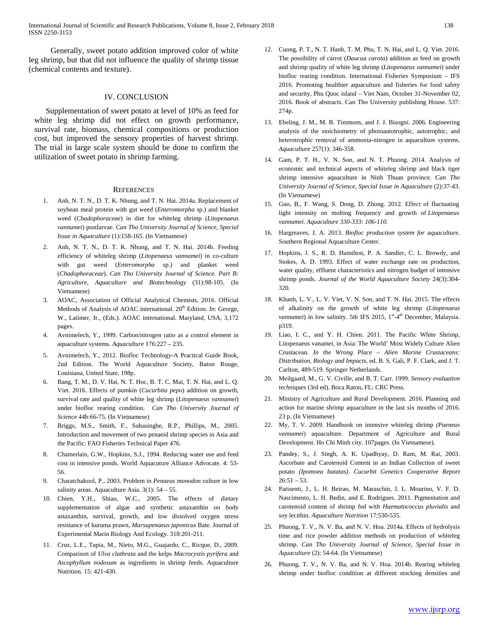Generally, sweet potato addition improved color of white leg shrimp, but that did not influence the quality of shrimp tissue (chemical contents and texture).

#### IV. CONCLUSION

Supplementation of sweet potato at level of 10% as feed for white leg shrimp did not effect on growth performance, survival rate, biomass, chemical compositions or production cost, but improved the sensory properties of harvest shrimp. The trial in large scale system should be done to confirm the utilization of sweet potato in shrimp farming.

#### **REFERENCES**

- 1. Anh, N. T. N., D. T. K. Nhung, and T. N. Hai. 2014a. Replacement of soybean meal protein with gut weed (*Enteromorpha* sp.) and blanket weed (*Chadophoraceae*) in diet for whiteleg shrimp (*Litopenaeus vannamei*) postlarvae. *Can Tho University Journal of Science, Special Issue in Aquaculture* (1):158-165. (In Vietnamese)
- 2. Anh, N. T. N., D. T. K. Nhung, and T. N. Hai. 2014b. Feeding efficiency of whiteleg shrimp (*Litopenaeus vannamei*) in co-culture with gut weed (*Enteromorpha* sp.) and planket weed (*Chadophoraceae*). *Can Tho University Journal of Science. Part B: Agriculture, Aquaculture and Biotechnology* (31):98-105. (In Vietnamese)
- 3. AOAC, Association of Official Analytical Chemists, 2016. Official Methods of Analysis of AOAC international. 20<sup>th</sup> Edition. *In*: George, W., Latimer, Jr., (Eds.). AOAC international. Maryland, USA, 3,172 pages.
- 4. Avnimelech, Y., 1999. Carbon/nitrogen ratio as a control element in aquaculture systems. *Aquaculture* 176:227 – 235.
- 5. Avnimelech, Y., 2012. Biofloc Technology-A Practical Guide Book, 2nd Edition. The World Aquaculture Society, Baton Rouge, Louisiana, United State. 198p.
- 6. Bang, T. M., D. V. Hai, N. T. Hoc, B. T. C. Mai, T. N. Hai, and L. Q. Viet. 2016. Effects of pumkin (*Cucurbita pepo*) addition on growth, survival rate and quality of white leg shrimp (*Litopenaeus vannamei*) under biofloc rearing condition. *Can Tho University Journal of Science* 44b:66-75. (In Vietnamese)
- 7. Briggs, M.S., Smith, F., Subasinghe, R.P., Phillips, M., 2005. Introduction and movement of two penaeid shrimp species in Asia and the Pacific. FAO Fisheries Technical Paper 476.
- 8. Chamerlain, G.W., Hopkins, S.J., 1994. Reducing water use and feed cost in intensive ponds. World Aquacuture Alliance Advocate. 4: 53- 56.
- 9. Charatchakool, P., 2003. Problem in *Penaeus monodon* culture in low salinity areas. Aquaculture Asia. 3(1): 54 – 55.
- 10. Chien, Y.H., Shiau, W.C., 2005. The effects of dietary supplementation of algae and synthetic astaxanthin on body astaxanthin, survival, growth, and low dissolved oxygen stress resistance of kuruma prawn, *Marsupenaeus japonicus* Bate. Journal of Experimental Marin Biology And Ecology. 318:201-211.
- 11. Cruz, L.E., Tapia, M., Nieto, M.G., Guajardo, C., Ricque, D., 2009. Comparison of *Ulva clathrata* and the kelps *Macrocystis pyrifera* and *Ascophyllum nodosum* as ingredients in shrimp feeds. Aquaculture Nutrition. 15: 421-430.
- 12. Cuong, P. T., N. T. Hanh, T. M. Phu, T. N. Hai, and L. Q. Viet. 2016. The possibility of carrot (*Daucua carota*) addition as feed on growth and shrimp quality of white leg shrimp (*Litopenaeus vannamei*) under biofloc rearing condition. International Fisheries Symposium – IFS 2016. Promoting healthier aquaculture and fisheries for food safety and security, Phu Quoc island – Viet Nam, October 31-November 02, 2016. Book of abstracts. Can Tho University publishing House. 537: 274p.
- 13. Ebeling, J. M., M. B. Timmons, and J. J. Bisogni. 2006. Engineering analysis of the stoichiometry of photoautotrophic, autotrophic, and heterotrophic removal of ammonia-nitrogen in aquaculture systems. *Aquaculture* 257(1): 346-358.
- 14. Gam, P. T. H., V. N. Son, and N. T. Phuong. 2014. Analysis of economic and technical aspects of whiteleg shrimp and black tiger shrimp intensive aquaculture in Ninh Thuan province. *Can Tho University Journal of Science, Special Issue in Aquaculture* (2):37-43. (In Vietnamese)
- 15. Guo, B., F. Wang, S. Dong, D. Zhong. 2012. Effect of fluctuating light intensity on molting frequency and growth of *Litopenaeus vannamei. Aquaculture 330-333: 106-110.*
- 16. Hargreaves, J. A. 2013. *Biofloc production system for aquaculture*. Southern Regional Aquaculture Center.
- 17. Hopkins, J. S., R. D. Hamilton, P. A. Sandier, C. L. Browdy, and Stokes, A. D. 1993. Effect of water exchange rate on production, water quality, effluent characteristics and nitrogen budget of intensive shrimp ponds. *Journal of the World Aquaculture Society* 24(3):304- 320.
- 18. Khanh, L. V., L. V. Viet, V. N. Son, and T. N. Hai. 2015. The effects of alkalinity on the growth of white leg shrimp (*Litopenaeus*  vannamei) in low salinity. 5th IFS 2015, 1<sup>st</sup>-4<sup>th</sup> December, Malaysia. p319.
- 19. Liao, I. C., and Y. H. Chien. 2011. The Pacific White Shrimp, Litopenaeus vanamei, in Asia: The World' Most Widely Culture Alien Crustacean. *In the Wrong Place – Alien Marine Crustaceans: Distribution, Biology and Impacts*, ed. B. S. Gali, P. F. Clark, and J. T. Carlton, 489-519. Springer Netherlands.
- 20. Meilgaard, M., G. V. Civille, and B. T. Carr. 1999. *Sensory evaluation techniques* (3rd ed). Boca Raton, FL: CRC Press.
- 21. Ministry of Agriculture and Rural Development. 2016. Planning and action for marine shrimp aquaculture in the last six months of 2016. 23 p. (In Vietnamese)
- 22. My, T. V. 2009. Handbook on intensive whiteleg shrimp *(Paeneus vannamei*) aquaculture. Department of Agriculture and Rural Development. Ho Chi Minh city. 107pages. (In Vietnamese).
- 23. Pandey, S., J. Singh, A. K. Upadhyay, D. Ram, M. Rai, 2003. Ascorbate and Carotenoid Content in an Indian Collection of sweet potato *(Ipomoea batatas)*. *Cucurbit Genetics Cooperative Report*  $26:51 - 53$ .
- 24. Parisenti, J., L. H. Beirao, M. Maraschin, J. L. Mourino, V. F. D. Nascimento, L. H. Bedin, and E. Rodrigues. 2011. Pigmentation and carotenoid content of shrimp fed with *Haematococcus pluvialis* and soy lecithin. *Aquaculture Nutrition* 17:530-535.
- 25. Phuong, T. V., N. V. Ba, and N. V. Hoa. 2014a. Effects of hydrolysis time and rice powder addition methods on production of whiteleg shrimp. *Can Tho University Journal of Science, Special Issue in Aquaculture* (2): 54-64. (In Vietnamese)
- 26. Phuong, T. V., N. V. Ba, and N. V. Hoa. 2014b. Rearing whiteleg shrimp under biofloc condition at different stocking densities and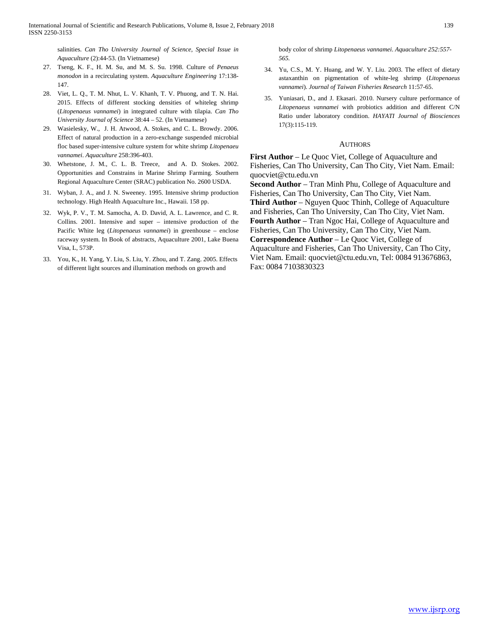salinities. *Can Tho University Journal of Science, Special Issue in Aquaculture* (2):44-53. (In Vietnamese)

- 27. Tseng, K. F., H. M. Su, and M. S. Su. 1998. Culture of *Penaeus monodon* in a recirculating system. *Aquaculture Engineering* 17:138- 147.
- 28. Viet, L. Q., T. M. Nhut, L. V. Khanh, T. V. Phuong, and T. N. Hai. 2015. Effects of different stocking densities of whiteleg shrimp (*Litopenaeus vannamei*) in integrated culture with tilapia. *Can Tho University Journal of Science* 38:44 – 52. (In Vietnamese)
- 29. Wasielesky, W., J. H. Atwood, A. Stokes, and C. L. Browdy. 2006. Effect of natural production in a zero-exchange suspended microbial floc based super-intensive culture system for white shrimp *Litopenaeu vannamei*. *Aquaculture* 258:396-403.
- 30. Whetstone, J. M., C. L. B. Treece, and A. D. Stokes. 2002. Opportunities and Constrains in Marine Shrimp Farming. Southern Regional Aquaculture Center (SRAC) publication No. 2600 USDA.
- 31. Wyban, J. A., and J. N. Sweeney. 1995. Intensive shrimp production technology. High Health Aquaculture Inc., Hawaii. 158 pp.
- 32. Wyk, P. V., T. M. Samocha, A. D. David, A. L. Lawrence, and C. R. Collins. 2001. Intensive and super – intensive production of the Pacific White leg (*Litopenaeus vannamei*) in greenhouse – enclose raceway system. In Book of abstracts, Aquaculture 2001, Lake Buena Visa, L, 573P.
- 33. You, K., H. Yang, Y. Liu, S. Liu, Y. Zhou, and T. Zang. 2005. Effects of different light sources and illumination methods on growth and

body color of shrimp *Litopenaeus vannamei*. *Aquaculture 252:557- 565.*

- 34. Yu, C.S., M. Y. Huang, and W. Y. Liu. 2003. The effect of dietary astaxanthin on pigmentation of white-leg shrimp (*Litopenaeus vannamei*). *Journal of Taiwan Fisheries Research* 11:57-65.
- 35. Yuniasari, D., and J. Ekasari. 2010. Nursery culture performance of *Litopenaeus vannamei* with probiotics addition and different C/N Ratio under laboratory condition. *HAYATI Journal of Biosciences* 17(3):115-119.

#### AUTHORS

**First Author** – Le Quoc Viet, College of Aquaculture and Fisheries, Can Tho University, Can Tho City, Viet Nam. Email: quocviet@ctu.edu.vn

**Second Author** – Tran Minh Phu, College of Aquaculture and Fisheries, Can Tho University, Can Tho City, Viet Nam.

**Third Author** – Nguyen Quoc Thinh, College of Aquaculture and Fisheries, Can Tho University, Can Tho City, Viet Nam.

**Fourth Author** – Tran Ngoc Hai, College of Aquaculture and Fisheries, Can Tho University, Can Tho City, Viet Nam.

**Correspondence Author** – Le Quoc Viet, College of Aquaculture and Fisheries, Can Tho University, Can Tho City, Viet Nam. Email: quocviet@ctu.edu.vn, Tel: 0084 913676863, Fax: 0084 7103830323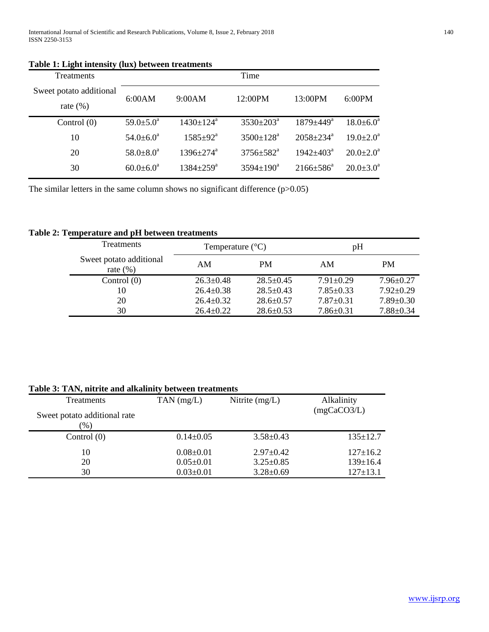| <b>Treatments</b>                       |                        |                             | Time                      |                             |                        |
|-----------------------------------------|------------------------|-----------------------------|---------------------------|-----------------------------|------------------------|
| Sweet potato additional<br>rate $(\% )$ | 6:00AM                 | 9:00AM                      | 12:00PM                   | $13:00$ PM                  | 6:00PM                 |
| Control $(0)$                           | $59.0 \pm 5.0^{\circ}$ | $1430 \pm 124$ <sup>a</sup> | $3530 \pm 203^{\text{a}}$ | $1879 \pm 449$ <sup>a</sup> | $18.0 \pm 6.0^a$       |
| 10                                      | $54.0 \pm 6.0^a$       | $1585 \pm 92^{\text{a}}$    | $3500 \pm 128^{\circ}$    | $2058 + 234^{\circ}$        | $19.0 \pm 2.0^{\circ}$ |
| 20                                      | $58.0 \pm 8.0^a$       | $1396 \pm 274^{\text{a}}$   | $3756 \pm 582^{\circ}$    | $1942 + 403^a$              | $20.0 \pm 2.0^{\circ}$ |
| 30                                      | $60.0 \pm 6.0^a$       | $1384 \pm 259^{\rm a}$      | $3594 \pm 190^{\text{a}}$ | $2166 \pm 586^{\circ}$      | $20.0 \pm 3.0^{\circ}$ |

### **Table 1: Light intensity (lux) between treatments**

The similar letters in the same column shows no significant difference  $(p>0.05)$ 

# **Table 2: Temperature and pH between treatments**

| <b>Treatments</b>                       | Temperature $(^{\circ}C)$ |                 | pH              |                 |
|-----------------------------------------|---------------------------|-----------------|-----------------|-----------------|
| Sweet potato additional<br>rate $(\% )$ | AM                        | <b>PM</b>       | AM              | <b>PM</b>       |
| Control $(0)$                           | $26.3 \pm 0.48$           | $28.5 \pm 0.45$ | $7.91 \pm 0.29$ | $7.96 \pm 0.27$ |
| 10                                      | $26.4 \pm 0.38$           | $28.5 \pm 0.43$ | $7.85 \pm 0.33$ | $7.92 \pm 0.29$ |
| 20                                      | $26.4 \pm 0.32$           | $28.6 \pm 0.57$ | $7.87 \pm 0.31$ | $7.89 \pm 0.30$ |
| 30                                      | $26.4 \pm 0.22$           | $28.6 \pm 0.53$ | $7.86 \pm 0.31$ | $7.88 \pm 0.34$ |

# **Treatments** Sweet potato additional rate (%) TAN (mg/L) Nitrite (mg/L) Alkalinity (mgCaCO3/L) Control (0) 0.14±0.05 3.58±0.43 135±12.7 10 0.08±0.01 2.97±0.42 127±16.2 20 0.05±0.01 3.25±0.85 139±16.4 30 0.03±0.01 3.28±0.69 127±13.1

# **Table 3: TAN, nitrite and alkalinity between treatments**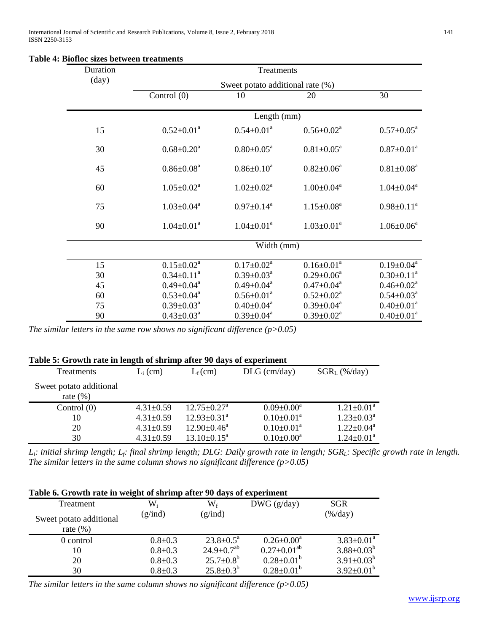| Duration       | Treatments        |                                  |                              |                              |  |  |  |
|----------------|-------------------|----------------------------------|------------------------------|------------------------------|--|--|--|
| $\text{(day)}$ |                   | Sweet potato additional rate (%) |                              |                              |  |  |  |
|                | Control (0)       | 10                               | 20                           | 30                           |  |  |  |
|                |                   | Length (mm)                      |                              |                              |  |  |  |
| 15             | $0.52 \pm 0.01^a$ | $0.54 \pm 0.01^a$                | $0.56 \pm 0.02^a$            | $0.57 \pm 0.05^a$            |  |  |  |
| 30             | $0.68 \pm 0.20^a$ | $0.80 \pm 0.05^{\text{a}}$       | $0.81 \pm 0.05^a$            | $0.87 \pm 0.01^a$            |  |  |  |
| 45             | $0.86 \pm 0.08^a$ | $0.86 \pm 0.10^a$                | $0.82 \pm 0.06^a$            | $0.81 \pm 0.08^a$            |  |  |  |
| 60             | $1.05 \pm 0.02^a$ | $1.02 \pm 0.02^a$                | $1.00 \pm 0.04$ <sup>a</sup> | $1.04 \pm 0.04$ <sup>a</sup> |  |  |  |
| 75             | $1.03 \pm 0.04^a$ | $0.97 \pm 0.14^a$                | $1.15 \pm 0.08^a$            | $0.98 \pm 0.11^a$            |  |  |  |
| 90             | $1.04 \pm 0.01^a$ | $1.04 \pm 0.01^a$                | $1.03 \pm 0.01^a$            | $1.06 \pm 0.06^a$            |  |  |  |
|                |                   | Width (mm)                       |                              |                              |  |  |  |
| 15             | $0.15 \pm 0.02^a$ | $0.17 \pm 0.02^a$                | $0.16 \pm 0.01^a$            | $0.19 \pm 0.04^a$            |  |  |  |
| 30             | $0.34 \pm 0.11^a$ | $0.39 \pm 0.03^a$                | $0.29 \pm 0.06^a$            | $0.30 \pm 0.11^a$            |  |  |  |
| 45             | $0.49 \pm 0.04^a$ | $0.49 \pm 0.04^a$                | $0.47 \pm 0.04^a$            | $0.46 \pm 0.02^a$            |  |  |  |
| 60             | $0.53 \pm 0.04^a$ | $0.56 \pm 0.01^a$                | $0.52 \pm 0.02^a$            | $0.54 \pm 0.03^a$            |  |  |  |
| 75             | $0.39 \pm 0.03^a$ | $0.40 \pm 0.04$ <sup>a</sup>     | $0.39 \pm 0.04^a$            | $0.40 \pm 0.01^a$            |  |  |  |
| 90             | $0.43 \pm 0.03^a$ | $0.39 \pm 0.04^a$                | $0.39 \pm 0.02^a$            | $0.40 \pm 0.01^a$            |  |  |  |

# **Table 4: Biofloc sizes between treatments**

*The similar letters in the same row shows no significant difference (p>0.05)*

| Table 5: Growth rate in length of shrimp after 90 days of experiment |                 |                               |                   |                   |  |  |  |
|----------------------------------------------------------------------|-----------------|-------------------------------|-------------------|-------------------|--|--|--|
| Treatments                                                           | $L_i$ (cm)      | $L_f$ (cm)                    | $DLG$ (cm/day)    | $SGR_L$ (%/day)   |  |  |  |
| Sweet potato additional<br>rate $(\%)$                               |                 |                               |                   |                   |  |  |  |
| Control $(0)$                                                        | $4.31 \pm 0.59$ | $12.75 \pm 0.27^{\mathrm{a}}$ | $0.09 \pm 0.00^a$ | $1.21 \pm 0.01^a$ |  |  |  |
| 10                                                                   | $4.31 \pm 0.59$ | $12.93 \pm 0.31$ <sup>a</sup> | $0.10 \pm 0.01^a$ | $1.23 \pm 0.03^a$ |  |  |  |
| 20                                                                   | $4.31 \pm 0.59$ | $12.90 \pm 0.46^{\text{a}}$   | $0.10 \pm 0.01^a$ | $1.22 \pm 0.04^a$ |  |  |  |
| 30                                                                   | $4.31 \pm 0.59$ | $13.10\pm0.15^{\text{a}}$     | $0.10 \pm 0.00^a$ | $1.24 \pm 0.01^a$ |  |  |  |

*Li: initial shrimp length; Lf: final shrimp length; DLG: Daily growth rate in length; SGRL: Specific growth rate in length. The similar letters in the same column shows no significant difference (p>0.05)*

| Table 6. Growth rate in weight of shrimp after 90 days of experiment |                  |                           |                      |                    |  |  |  |
|----------------------------------------------------------------------|------------------|---------------------------|----------------------|--------------------|--|--|--|
| Treatment                                                            | $\mathrm{W_{i}}$ | $\mathrm{W_{f}}$          | DWG (g/day)          | <b>SGR</b>         |  |  |  |
| Sweet potato additional<br>rate $(\%)$                               | (g/ind)          | (g/ind)                   |                      | $(\frac{\%}{day})$ |  |  |  |
| 0 control                                                            | $0.8 \pm 0.3$    | $23.8 \pm 0.5^{\text{a}}$ | $0.26 \pm 0.00^a$    | $3.83 \pm 0.01^a$  |  |  |  |
| 10                                                                   | $0.8 + 0.3$      | $24.9 \pm 0.7^{ab}$       | $0.27 \pm 0.01^{ab}$ | $3.88 \pm 0.03^b$  |  |  |  |
| 20                                                                   | $0.8 + 0.3$      | $25.7 \pm 0.8^{\rm b}$    | $0.28 \pm 0.01^b$    | $3.91 \pm 0.03^b$  |  |  |  |
| 30                                                                   | $0.8 + 0.3$      | $25.8 \pm 0.3^b$          | $0.28 \pm 0.01^b$    | $3.92 \pm 0.01^b$  |  |  |  |

*The similar letters in the same column shows no significant difference (p>0.05)*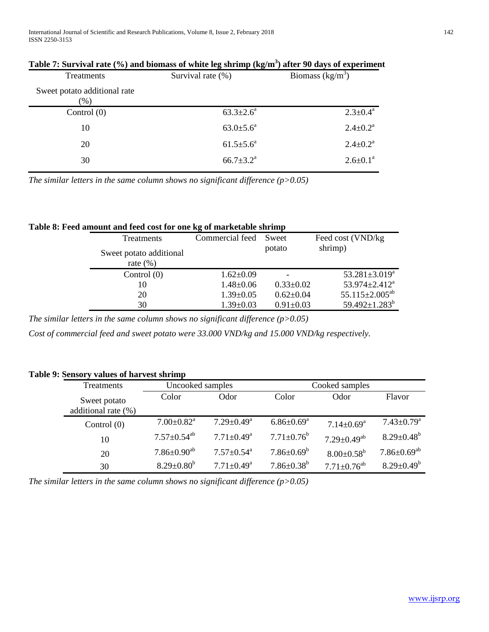International Journal of Scientific and Research Publications, Volume 8, Issue 2, February 2018 142 ISSN 2250-3153

| Treatments                              | Survival rate (%)         | Biomass $(kg/m^3)$       |  |
|-----------------------------------------|---------------------------|--------------------------|--|
| Sweet potato additional rate<br>$(\% )$ |                           |                          |  |
| Control $(0)$                           | $63.3 \pm 2.6^{\circ}$    | $2.3 \pm 0.4^a$          |  |
| 10                                      | $63.0{\pm}5.6^a$          | $2.4 \pm 0.2^{\text{a}}$ |  |
| 20                                      | $61.5 \pm 5.6^a$          | $2.4 \pm 0.2^a$          |  |
| 30                                      | $66.7 \pm 3.2^{\text{a}}$ | $2.6 \pm 0.1^a$          |  |

*The similar letters in the same column shows no significant difference (p>0.05)*

# **Table 8: Feed amount and feed cost for one kg of marketable shrimp**

| Treatments              | Commercial feed | Sweet           | Feed cost (VND/kg)               |
|-------------------------|-----------------|-----------------|----------------------------------|
| Sweet potato additional |                 | potato          | shrimp)                          |
| rate $(\% )$            |                 |                 |                                  |
| Control $(0)$           | $1.62 \pm 0.09$ |                 | $53.281 \pm 3.019^a$             |
| 10                      | $1.48 \pm 0.06$ | $0.33 \pm 0.02$ | 53.974 $\pm$ 2.412 <sup>a</sup>  |
| 20                      | $1.39 \pm 0.05$ | $0.62 \pm 0.04$ | 55.115 $\pm$ 2.005 <sup>ab</sup> |
| 30                      | $1.39 \pm 0.03$ | $0.91 \pm 0.03$ | 59.492 $\pm$ 1.283 <sup>b</sup>  |

*The similar letters in the same column shows no significant difference (p>0.05)*

*Cost of commercial feed and sweet potato were 33.000 VND/kg and 15.000 VND/kg respectively.*

# **Table 9: Sensory values of harvest shrimp**

| Treatments                          | Uncooked samples              |                              | Cooked samples               |                               |                                          |
|-------------------------------------|-------------------------------|------------------------------|------------------------------|-------------------------------|------------------------------------------|
| Sweet potato<br>additional rate (%) | Color                         | Odor                         | Color                        | Odor                          | Flavor                                   |
| Control $(0)$                       | $7.00 \pm 0.82$ <sup>a</sup>  | $7.29 \pm 0.49$ <sup>a</sup> | $6.86 \pm 0.69^{\mathrm{a}}$ | $7.14 \pm 0.69$ <sup>a</sup>  | $7.43 \pm 0.79$ <sup>a</sup>             |
| 10                                  | $7.57 \pm 0.54$ <sup>ab</sup> | $7.71 \pm 0.49$ <sup>a</sup> | $7.71 \pm 0.76^b$            | $7.29 \pm 0.49^{ab}$          | $8.29 \pm 0.48^b$                        |
| 20                                  | $7.86{\pm}0.90^{\mathrm{ab}}$ | $7.57 \pm 0.54$ <sup>a</sup> | $7.86 \pm 0.69^b$            | $8.00 \pm 0.58^{\rm b}$       | $7.86{\scriptstyle \pm0.69^\mathrm{ab}}$ |
| 30                                  | $8.29 \pm 0.80^b$             | $7.71 \pm 0.49$ <sup>a</sup> | $7.86 \pm 0.38^b$            | $7.71 \pm 0.76$ <sup>ab</sup> | $8.29 \pm 0.49^b$                        |

*The similar letters in the same column shows no significant difference (p>0.05)*